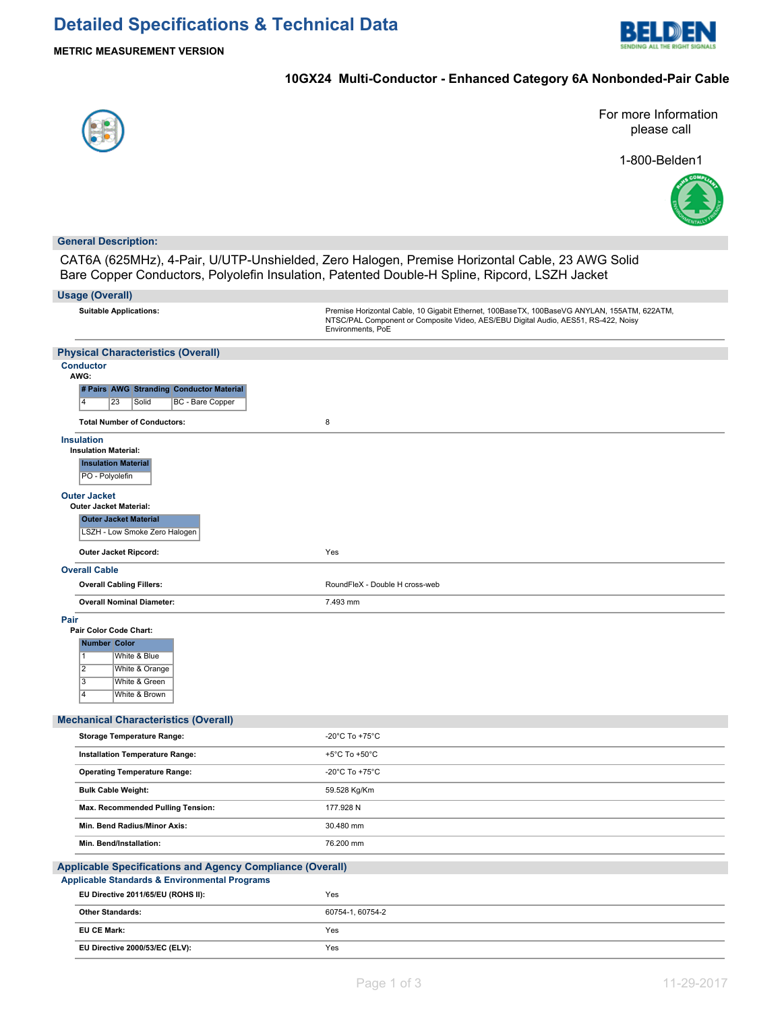

## **10GX24 Multi-Conductor - Enhanced Category 6A Nonbonded-Pair Cable**



For more Information please call

1-800-Belden1



### **General Description:**

CAT6A (625MHz), 4-Pair, U/UTP-Unshielded, Zero Halogen, Premise Horizontal Cable, 23 AWG Solid Bare Copper Conductors, Polyolefin Insulation, Patented Double-H Spline, Ripcord, LSZH Jacket

| <b>Usage (Overall)</b>                                                                                                                                                                          |                                                                                                                                                                                                        |
|-------------------------------------------------------------------------------------------------------------------------------------------------------------------------------------------------|--------------------------------------------------------------------------------------------------------------------------------------------------------------------------------------------------------|
| <b>Suitable Applications:</b>                                                                                                                                                                   | Premise Horizontal Cable, 10 Gigabit Ethernet, 100BaseTX, 100BaseVG ANYLAN, 155ATM, 622ATM,<br>NTSC/PAL Component or Composite Video, AES/EBU Digital Audio, AES51, RS-422, Noisy<br>Environments, PoE |
| <b>Physical Characteristics (Overall)</b>                                                                                                                                                       |                                                                                                                                                                                                        |
| <b>Conductor</b><br>AWG:<br># Pairs AWG Stranding Conductor Material                                                                                                                            |                                                                                                                                                                                                        |
| $\overline{4}$<br>23<br>Solid<br>BC - Bare Copper                                                                                                                                               |                                                                                                                                                                                                        |
| <b>Total Number of Conductors:</b>                                                                                                                                                              | 8                                                                                                                                                                                                      |
| <b>Insulation</b><br><b>Insulation Material:</b><br><b>Insulation Material</b><br>PO - Polyolefin                                                                                               |                                                                                                                                                                                                        |
| <b>Outer Jacket</b><br><b>Outer Jacket Material:</b><br><b>Outer Jacket Material</b><br>LSZH - Low Smoke Zero Halogen                                                                           |                                                                                                                                                                                                        |
| Outer Jacket Ripcord:                                                                                                                                                                           | Yes                                                                                                                                                                                                    |
| <b>Overall Cable</b>                                                                                                                                                                            |                                                                                                                                                                                                        |
| <b>Overall Cabling Fillers:</b>                                                                                                                                                                 | RoundFleX - Double H cross-web                                                                                                                                                                         |
| <b>Overall Nominal Diameter:</b>                                                                                                                                                                | 7.493 mm                                                                                                                                                                                               |
| Pair<br>Pair Color Code Chart:<br><b>Number Color</b><br>White & Blue<br>$\mathbf{1}$<br>$\overline{2}$<br>White & Orange<br>$\overline{3}$<br>White & Green<br>$\overline{4}$<br>White & Brown |                                                                                                                                                                                                        |
| <b>Mechanical Characteristics (Overall)</b>                                                                                                                                                     |                                                                                                                                                                                                        |
| <b>Storage Temperature Range:</b>                                                                                                                                                               | -20°C To +75°C                                                                                                                                                                                         |
| Installation Temperature Range:                                                                                                                                                                 | +5°C To +50°C                                                                                                                                                                                          |
| <b>Operating Temperature Range:</b>                                                                                                                                                             | -20°C To +75°C                                                                                                                                                                                         |
| <b>Bulk Cable Weight:</b>                                                                                                                                                                       | 59.528 Kg/Km                                                                                                                                                                                           |
| Max. Recommended Pulling Tension:                                                                                                                                                               | 177.928 N                                                                                                                                                                                              |
| Min. Bend Radius/Minor Axis:                                                                                                                                                                    | 30.480 mm                                                                                                                                                                                              |
| Min. Bend/Installation:                                                                                                                                                                         | 76.200 mm                                                                                                                                                                                              |
| <b>Applicable Specifications and Agency Compliance (Overall)</b>                                                                                                                                |                                                                                                                                                                                                        |
| <b>Applicable Standards &amp; Environmental Programs</b>                                                                                                                                        | Yes                                                                                                                                                                                                    |
| EU Directive 2011/65/EU (ROHS II):                                                                                                                                                              | 60754-1, 60754-2                                                                                                                                                                                       |
| <b>Other Standards:</b>                                                                                                                                                                         |                                                                                                                                                                                                        |
| EU CE Mark:                                                                                                                                                                                     | Yes                                                                                                                                                                                                    |
| EU Directive 2000/53/EC (ELV):                                                                                                                                                                  | Yes                                                                                                                                                                                                    |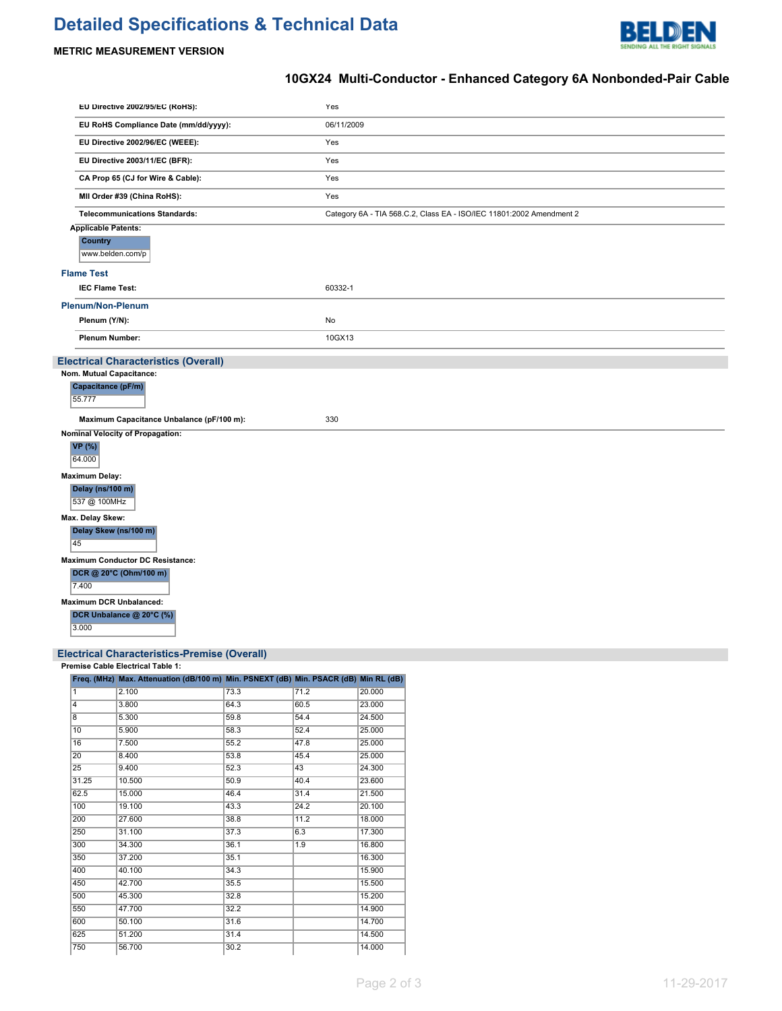# **Detailed Specifications & Technical Data**



# **METRIC MEASUREMENT VERSION**

# **10GX24 Multi-Conductor - Enhanced Category 6A Nonbonded-Pair Cable**

| EU Directive 2002/95/EC (RoHS):             | Yes                                                                  |
|---------------------------------------------|----------------------------------------------------------------------|
| EU RoHS Compliance Date (mm/dd/yyyy):       | 06/11/2009                                                           |
| EU Directive 2002/96/EC (WEEE):             | Yes                                                                  |
| EU Directive 2003/11/EC (BFR):              | Yes                                                                  |
| CA Prop 65 (CJ for Wire & Cable):           | Yes                                                                  |
| MII Order #39 (China RoHS):                 | Yes                                                                  |
| <b>Telecommunications Standards:</b>        | Category 6A - TIA 568.C.2, Class EA - ISO/IEC 11801:2002 Amendment 2 |
| <b>Applicable Patents:</b>                  |                                                                      |
| Country<br>www.belden.com/p                 |                                                                      |
| <b>Flame Test</b>                           |                                                                      |
| <b>IEC Flame Test:</b>                      | 60332-1                                                              |
| <b>Plenum/Non-Plenum</b>                    |                                                                      |
| Plenum (Y/N):                               | No                                                                   |
| <b>Plenum Number:</b>                       | 10GX13                                                               |
| <b>Electrical Characteristics (Overall)</b> |                                                                      |
| Nom. Mutual Capacitance:                    |                                                                      |
| Capacitance (pF/m)<br>55.777                |                                                                      |
| Maximum Capacitance Unbalance (pF/100 m):   | 330                                                                  |
| <b>Nominal Velocity of Propagation:</b>     |                                                                      |
| VP (%)<br>64.000                            |                                                                      |
| <b>Maximum Delay:</b>                       |                                                                      |
| Delay (ns/100 m)<br>537 @ 100MHz            |                                                                      |
| Max. Delay Skew:                            |                                                                      |
| Delay Skew (ns/100 m)<br>45                 |                                                                      |
| <b>Maximum Conductor DC Resistance:</b>     |                                                                      |
| DCR @ 20°C (Ohm/100 m)<br>7.400             |                                                                      |
| <b>Maximum DCR Unbalanced:</b>              |                                                                      |
| DCR Unbalance @ 20°C (%)<br>3.000           |                                                                      |
|                                             |                                                                      |

#### **Electrical Characteristics-Premise (Overall)**

**Premise Cable Electrical Table 1:**

|                 | Freq. (MHz) Max. Attenuation (dB/100 m) Min. PSNEXT (dB) Min. PSACR (dB) Min RL (dB) |      |      |        |
|-----------------|--------------------------------------------------------------------------------------|------|------|--------|
| 1               | 2.100                                                                                | 73.3 | 71.2 | 20.000 |
| 4               | 3.800                                                                                | 64.3 | 60.5 | 23.000 |
| $\overline{8}$  | 5.300                                                                                | 59.8 | 54.4 | 24.500 |
| 10              | 5.900                                                                                | 58.3 | 52.4 | 25.000 |
| 16              | 7.500                                                                                | 55.2 | 47.8 | 25.000 |
| $\overline{20}$ | 8.400                                                                                | 53.8 | 45.4 | 25.000 |
| 25              | 9.400                                                                                | 52.3 | 43   | 24.300 |
| 31.25           | 10.500                                                                               | 50.9 | 40.4 | 23.600 |
| 62.5            | 15.000                                                                               | 46.4 | 31.4 | 21.500 |
| 100             | 19.100                                                                               | 43.3 | 24.2 | 20.100 |
| 200             | 27.600                                                                               | 38.8 | 11.2 | 18.000 |
| 250             | 31.100                                                                               | 37.3 | 6.3  | 17.300 |
| 300             | 34.300                                                                               | 36.1 | 1.9  | 16.800 |
| 350             | 37.200                                                                               | 35.1 |      | 16.300 |
| 400             | 40.100                                                                               | 34.3 |      | 15.900 |
| 450             | 42.700                                                                               | 35.5 |      | 15.500 |
| 500             | 45.300                                                                               | 32.8 |      | 15.200 |
| 550             | 47.700                                                                               | 32.2 |      | 14.900 |
| 600             | 50.100                                                                               | 31.6 |      | 14.700 |
| 625             | 51.200                                                                               | 31.4 |      | 14.500 |
| 750             | 56.700                                                                               | 30.2 |      | 14.000 |